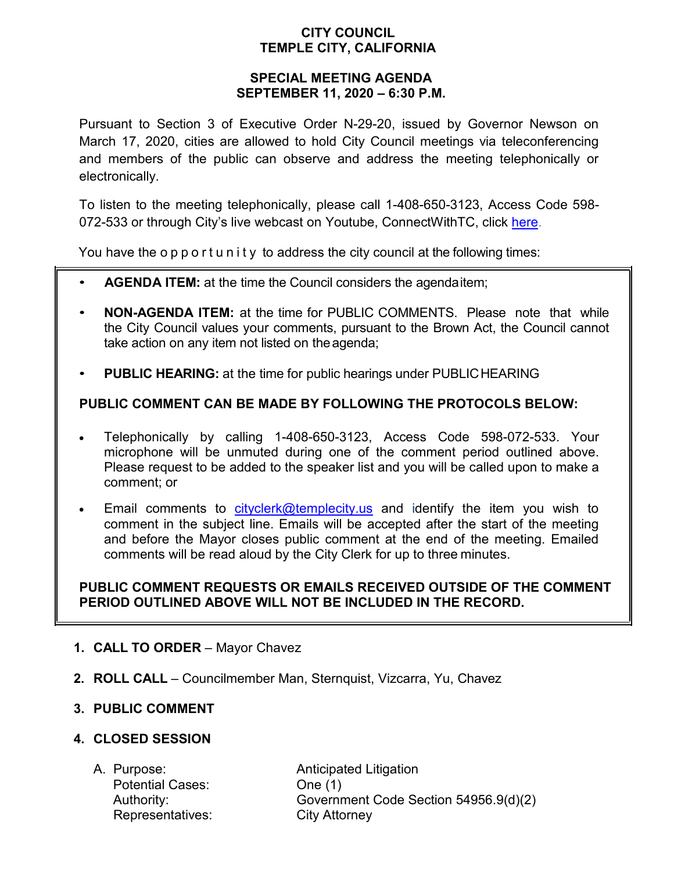## **CITY COUNCIL TEMPLE CITY, CALIFORNIA**

### **SPECIAL MEETING AGENDA SEPTEMBER 11, 2020 – 6:30 P.M.**

Pursuant to Section 3 of Executive Order N-29-20, issued by Governor Newson on March 17, 2020, cities are allowed to hold City Council meetings via teleconferencing and members of the public can observe and address the meeting telephonically or electronically.

To listen to the meeting telephonically, please call 1-408-650-3123, Access Code 598 072-533 or through City's live webcast on Youtube, ConnectWithTC, click [here.](https://www.ci.temple-city.ca.us/516/Meeting-Webcast)

You have the opportunity to address the city council at the following times:

- **AGENDA ITEM:** at the time the Council considers the agendaitem;
- **NON-AGENDA ITEM:** at the time for PUBLIC COMMENTS. Please note that while the City Council values your comments, pursuant to the Brown Act, the Council cannot take action on any item not listed on theagenda;
- **PUBLIC HEARING:** at the time for public hearings under PUBLICHEARING

# **PUBLIC COMMENT CAN BE MADE BY FOLLOWING THE PROTOCOLS BELOW:**

- Telephonically by calling 1-408-650-3123, Access Code 598-072-533. Your microphone will be unmuted during one of the comment period outlined above. Please request to be added to the speaker list and you will be called upon to make a comment; or
- Email comments to [cityclerk@templecity.us](mailto:cityclerk@templecity.us) and identify the item you wish to comment in the subject line. Emails will be accepted after the start of the meeting and before the Mayor closes public comment at the end of the meeting. Emailed comments will be read aloud by the City Clerk for up to three minutes.

### **PUBLIC COMMENT REQUESTS OR EMAILS RECEIVED OUTSIDE OF THE COMMENT PERIOD OUTLINED ABOVE WILL NOT BE INCLUDED IN THE RECORD.**

- **1. CALL TO ORDER**  Mayor Chavez
- **2. ROLL CALL**  Councilmember Man, Sternquist, Vizcarra, Yu, Chavez

### **3. PUBLIC COMMENT**

### **4. CLOSED SESSION**

Potential Cases: One (1) Representatives: City Attorney

A. Purpose: **Anticipated Litigation** Authority: Government Code Section 54956.9(d)(2)